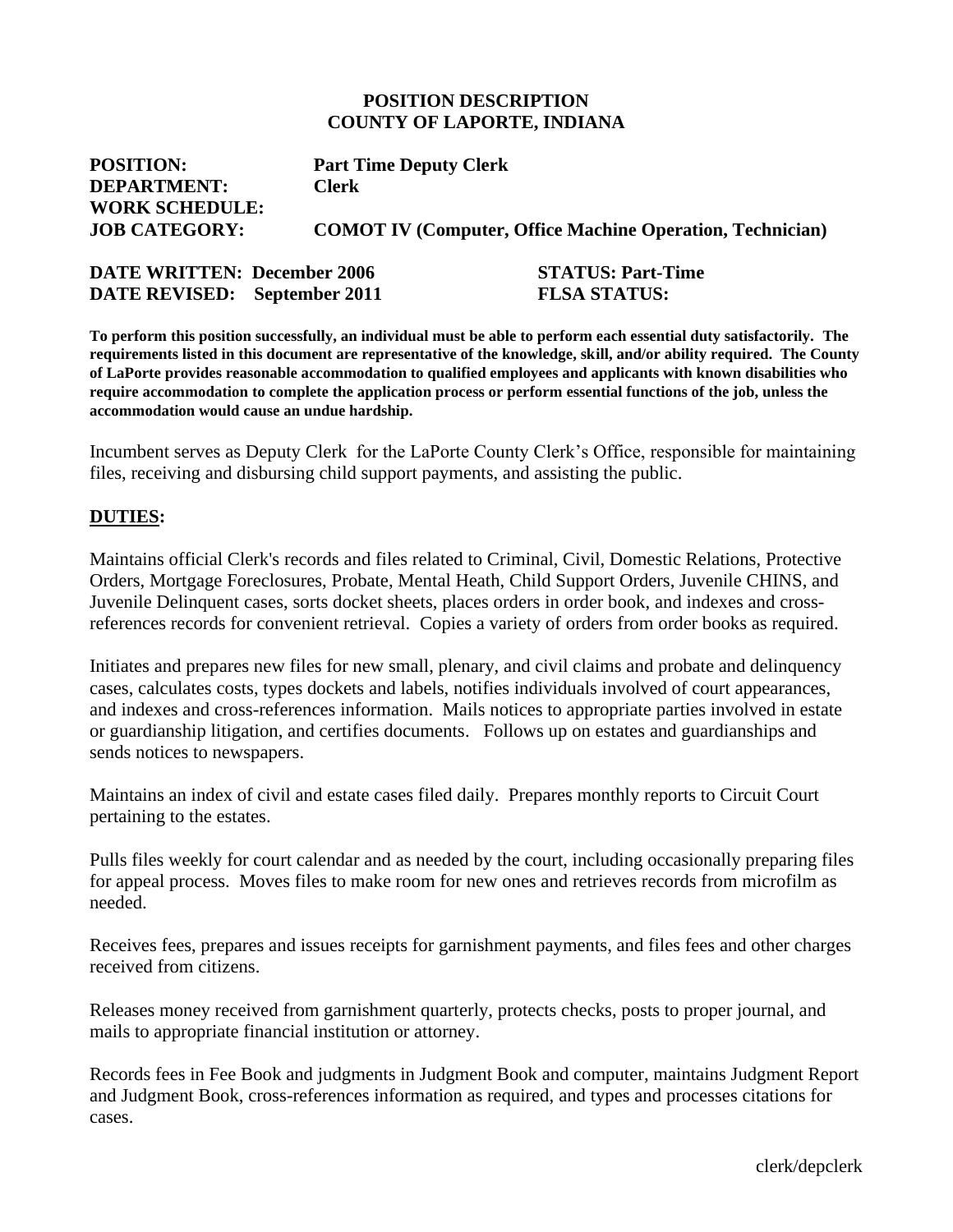#### **POSITION DESCRIPTION COUNTY OF LAPORTE, INDIANA**

| <b>POSITION:</b>      | <b>Part Time Deputy Clerk</b>                                    |
|-----------------------|------------------------------------------------------------------|
| <b>DEPARTMENT:</b>    | <b>Clerk</b>                                                     |
| <b>WORK SCHEDULE:</b> |                                                                  |
| <b>JOB CATEGORY:</b>  | <b>COMOT IV (Computer, Office Machine Operation, Technician)</b> |
|                       |                                                                  |

| <b>DATE WRITTEN: December 2006</b>  | <b>STATUS: Part-Time</b> |
|-------------------------------------|--------------------------|
| <b>DATE REVISED:</b> September 2011 | <b>FLSA STATUS:</b>      |

**To perform this position successfully, an individual must be able to perform each essential duty satisfactorily. The requirements listed in this document are representative of the knowledge, skill, and/or ability required. The County of LaPorte provides reasonable accommodation to qualified employees and applicants with known disabilities who require accommodation to complete the application process or perform essential functions of the job, unless the accommodation would cause an undue hardship.**

Incumbent serves as Deputy Clerk for the LaPorte County Clerk's Office, responsible for maintaining files, receiving and disbursing child support payments, and assisting the public.

#### **DUTIES:**

Maintains official Clerk's records and files related to Criminal, Civil, Domestic Relations, Protective Orders, Mortgage Foreclosures, Probate, Mental Heath, Child Support Orders, Juvenile CHINS, and Juvenile Delinquent cases, sorts docket sheets, places orders in order book, and indexes and crossreferences records for convenient retrieval. Copies a variety of orders from order books as required.

Initiates and prepares new files for new small, plenary, and civil claims and probate and delinquency cases, calculates costs, types dockets and labels, notifies individuals involved of court appearances, and indexes and cross-references information. Mails notices to appropriate parties involved in estate or guardianship litigation, and certifies documents. Follows up on estates and guardianships and sends notices to newspapers.

Maintains an index of civil and estate cases filed daily. Prepares monthly reports to Circuit Court pertaining to the estates.

Pulls files weekly for court calendar and as needed by the court, including occasionally preparing files for appeal process. Moves files to make room for new ones and retrieves records from microfilm as needed.

Receives fees, prepares and issues receipts for garnishment payments, and files fees and other charges received from citizens.

Releases money received from garnishment quarterly, protects checks, posts to proper journal, and mails to appropriate financial institution or attorney.

Records fees in Fee Book and judgments in Judgment Book and computer, maintains Judgment Report and Judgment Book, cross-references information as required, and types and processes citations for cases.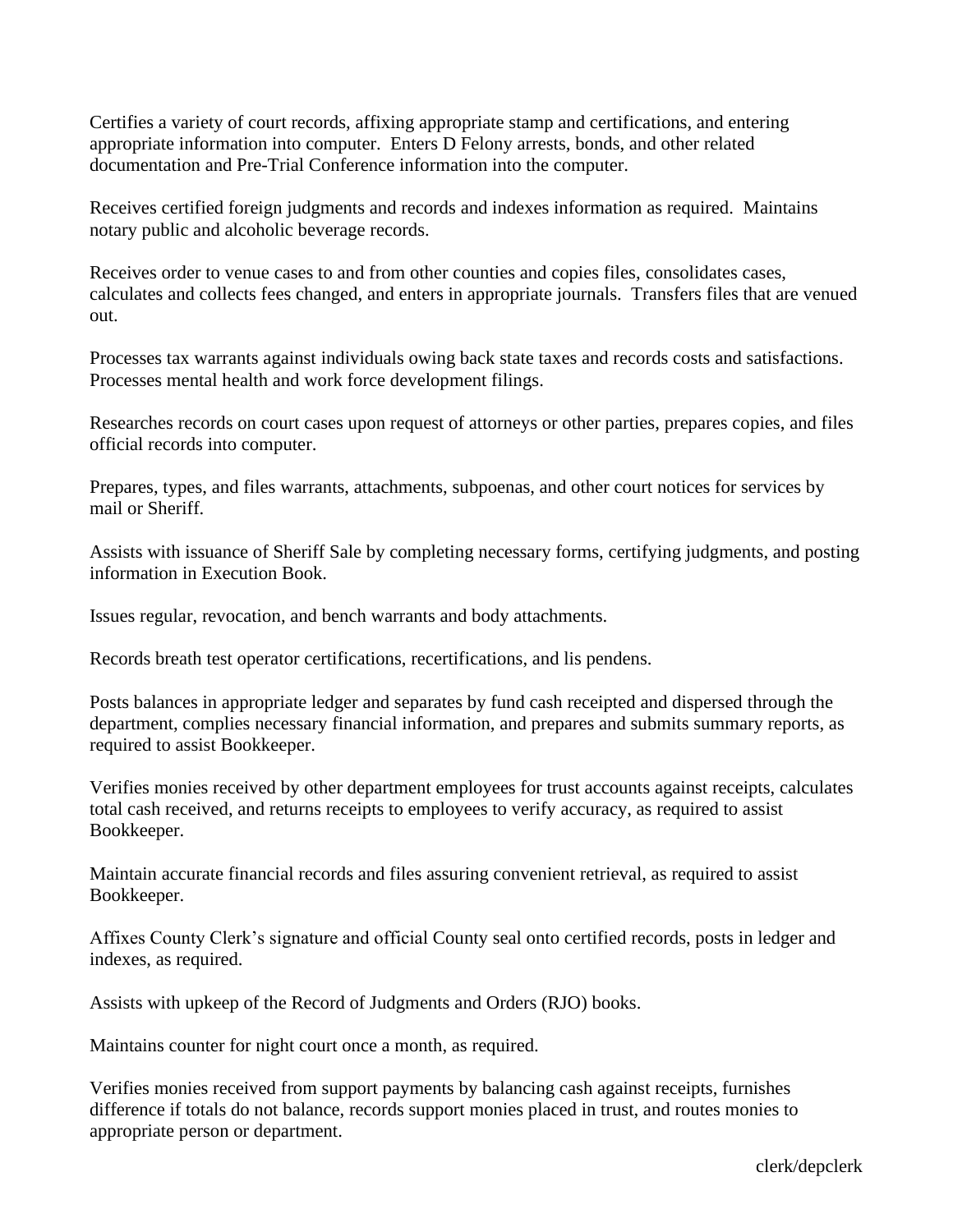Certifies a variety of court records, affixing appropriate stamp and certifications, and entering appropriate information into computer. Enters D Felony arrests, bonds, and other related documentation and Pre-Trial Conference information into the computer.

Receives certified foreign judgments and records and indexes information as required. Maintains notary public and alcoholic beverage records.

Receives order to venue cases to and from other counties and copies files, consolidates cases, calculates and collects fees changed, and enters in appropriate journals. Transfers files that are venued out.

Processes tax warrants against individuals owing back state taxes and records costs and satisfactions. Processes mental health and work force development filings.

Researches records on court cases upon request of attorneys or other parties, prepares copies, and files official records into computer.

Prepares, types, and files warrants, attachments, subpoenas, and other court notices for services by mail or Sheriff.

Assists with issuance of Sheriff Sale by completing necessary forms, certifying judgments, and posting information in Execution Book.

Issues regular, revocation, and bench warrants and body attachments.

Records breath test operator certifications, recertifications, and lis pendens.

Posts balances in appropriate ledger and separates by fund cash receipted and dispersed through the department, complies necessary financial information, and prepares and submits summary reports, as required to assist Bookkeeper.

Verifies monies received by other department employees for trust accounts against receipts, calculates total cash received, and returns receipts to employees to verify accuracy, as required to assist Bookkeeper.

Maintain accurate financial records and files assuring convenient retrieval, as required to assist Bookkeeper.

Affixes County Clerk's signature and official County seal onto certified records, posts in ledger and indexes, as required.

Assists with upkeep of the Record of Judgments and Orders (RJO) books.

Maintains counter for night court once a month, as required.

Verifies monies received from support payments by balancing cash against receipts, furnishes difference if totals do not balance, records support monies placed in trust, and routes monies to appropriate person or department.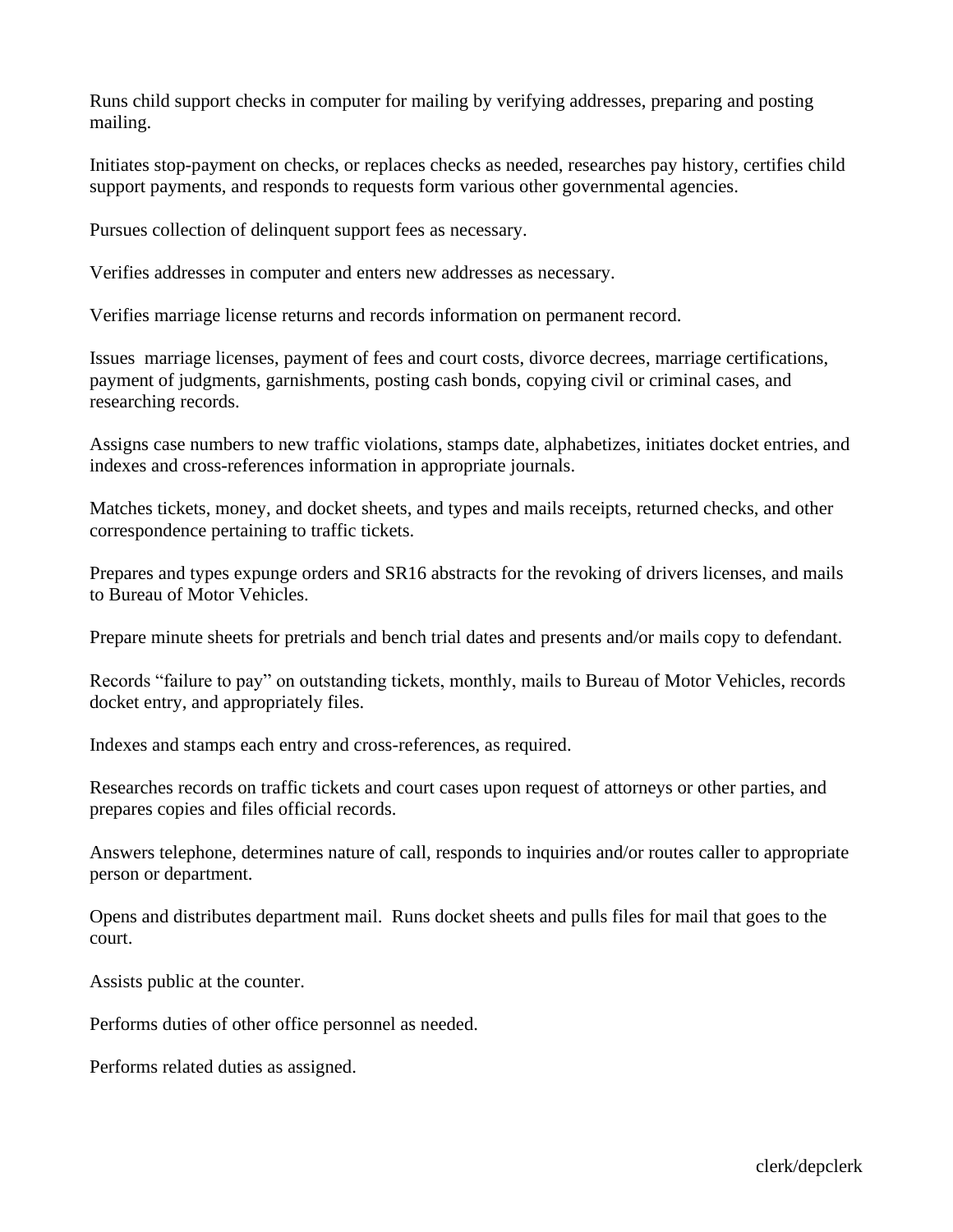Runs child support checks in computer for mailing by verifying addresses, preparing and posting mailing.

Initiates stop-payment on checks, or replaces checks as needed, researches pay history, certifies child support payments, and responds to requests form various other governmental agencies.

Pursues collection of delinquent support fees as necessary.

Verifies addresses in computer and enters new addresses as necessary.

Verifies marriage license returns and records information on permanent record.

Issues marriage licenses, payment of fees and court costs, divorce decrees, marriage certifications, payment of judgments, garnishments, posting cash bonds, copying civil or criminal cases, and researching records.

Assigns case numbers to new traffic violations, stamps date, alphabetizes, initiates docket entries, and indexes and cross-references information in appropriate journals.

Matches tickets, money, and docket sheets, and types and mails receipts, returned checks, and other correspondence pertaining to traffic tickets.

Prepares and types expunge orders and SR16 abstracts for the revoking of drivers licenses, and mails to Bureau of Motor Vehicles.

Prepare minute sheets for pretrials and bench trial dates and presents and/or mails copy to defendant.

Records "failure to pay" on outstanding tickets, monthly, mails to Bureau of Motor Vehicles, records docket entry, and appropriately files.

Indexes and stamps each entry and cross-references, as required.

Researches records on traffic tickets and court cases upon request of attorneys or other parties, and prepares copies and files official records.

Answers telephone, determines nature of call, responds to inquiries and/or routes caller to appropriate person or department.

Opens and distributes department mail. Runs docket sheets and pulls files for mail that goes to the court.

Assists public at the counter.

Performs duties of other office personnel as needed.

Performs related duties as assigned.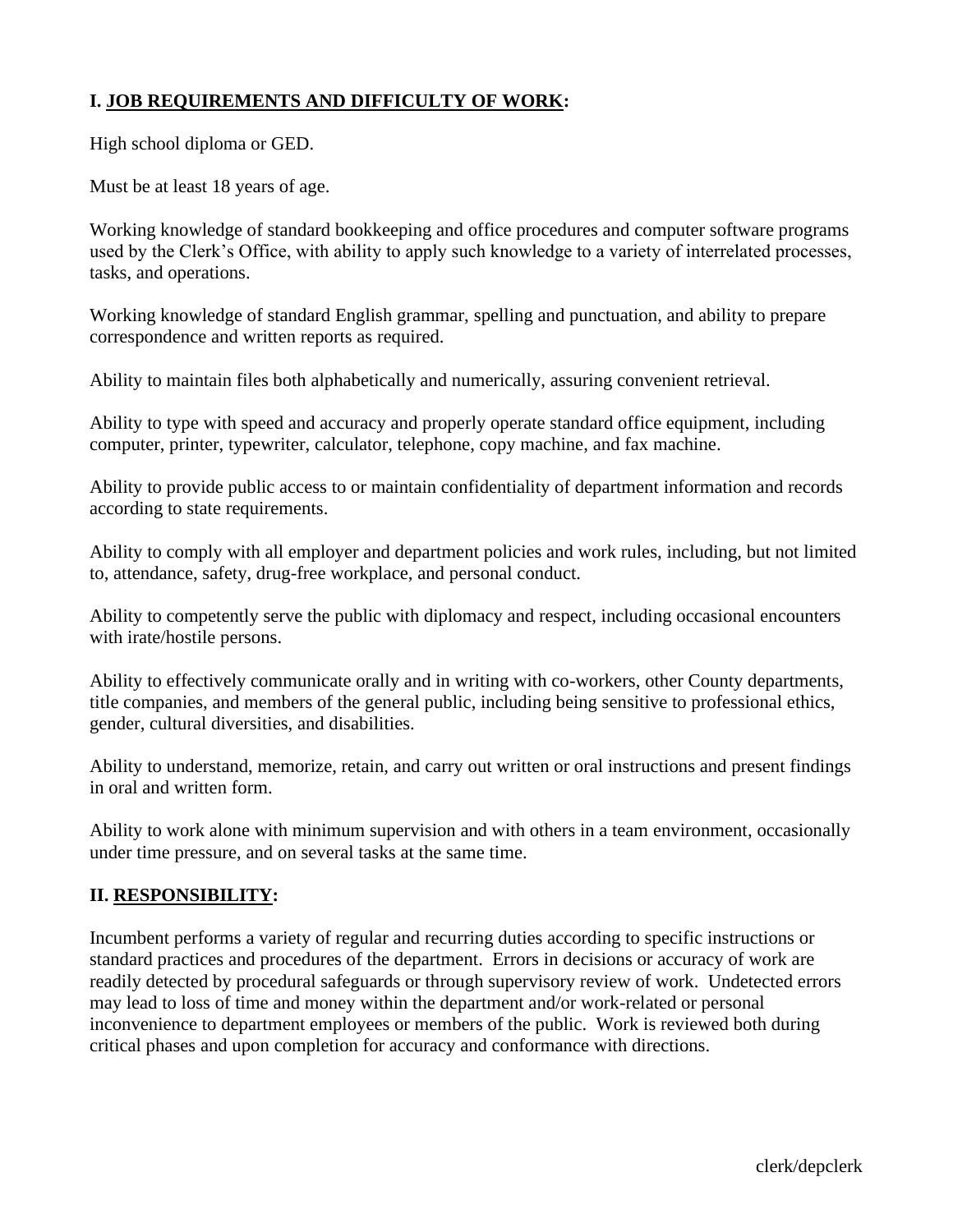# **I. JOB REQUIREMENTS AND DIFFICULTY OF WORK:**

High school diploma or GED.

Must be at least 18 years of age.

Working knowledge of standard bookkeeping and office procedures and computer software programs used by the Clerk's Office, with ability to apply such knowledge to a variety of interrelated processes, tasks, and operations.

Working knowledge of standard English grammar, spelling and punctuation, and ability to prepare correspondence and written reports as required.

Ability to maintain files both alphabetically and numerically, assuring convenient retrieval.

Ability to type with speed and accuracy and properly operate standard office equipment, including computer, printer, typewriter, calculator, telephone, copy machine, and fax machine.

Ability to provide public access to or maintain confidentiality of department information and records according to state requirements.

Ability to comply with all employer and department policies and work rules, including, but not limited to, attendance, safety, drug-free workplace, and personal conduct.

Ability to competently serve the public with diplomacy and respect, including occasional encounters with irate/hostile persons.

Ability to effectively communicate orally and in writing with co-workers, other County departments, title companies, and members of the general public, including being sensitive to professional ethics, gender, cultural diversities, and disabilities.

Ability to understand, memorize, retain, and carry out written or oral instructions and present findings in oral and written form.

Ability to work alone with minimum supervision and with others in a team environment, occasionally under time pressure, and on several tasks at the same time.

## **II. RESPONSIBILITY:**

Incumbent performs a variety of regular and recurring duties according to specific instructions or standard practices and procedures of the department. Errors in decisions or accuracy of work are readily detected by procedural safeguards or through supervisory review of work. Undetected errors may lead to loss of time and money within the department and/or work-related or personal inconvenience to department employees or members of the public. Work is reviewed both during critical phases and upon completion for accuracy and conformance with directions.